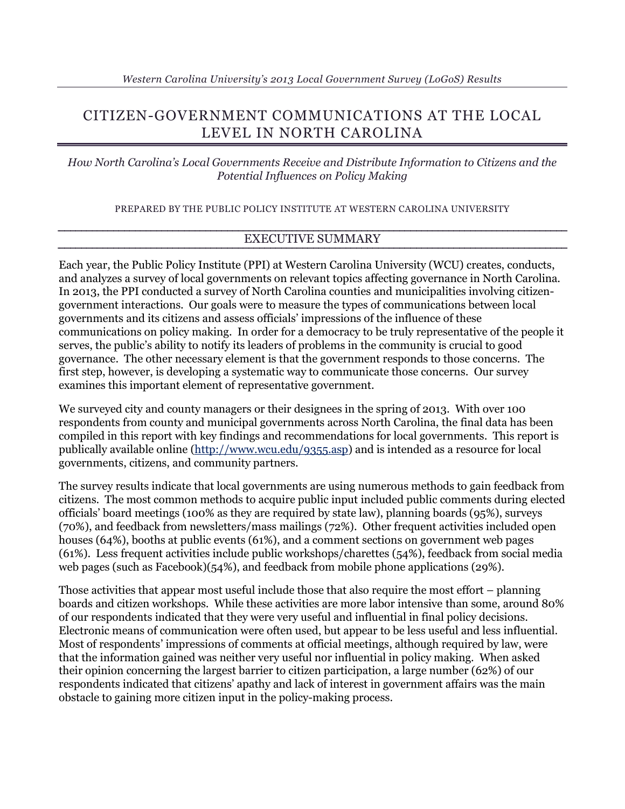# CITIZEN-GOVERNMENT COMMUNICATIONS AT THE LOCAL LEVEL IN NORTH CAROLINA

*How North Carolina's Local Governments Receive and Distribute Information to Citizens and the Potential Influences on Policy Making*

PREPARED BY THE PUBLIC POLICY INSTITUTE AT WESTERN CAROLINA UNIVERSITY

### EXECUTIVE SUMMARY

Each year, the Public Policy Institute (PPI) at Western Carolina University (WCU) creates, conducts, and analyzes a survey of local governments on relevant topics affecting governance in North Carolina. In 2013, the PPI conducted a survey of North Carolina counties and municipalities involving citizengovernment interactions. Our goals were to measure the types of communications between local governments and its citizens and assess officials' impressions of the influence of these communications on policy making. In order for a democracy to be truly representative of the people it serves, the public's ability to notify its leaders of problems in the community is crucial to good governance. The other necessary element is that the government responds to those concerns. The first step, however, is developing a systematic way to communicate those concerns. Our survey examines this important element of representative government.

We surveyed city and county managers or their designees in the spring of 2013. With over 100 respondents from county and municipal governments across North Carolina, the final data has been compiled in this report with key findings and recommendations for local governments. This report is publically available online [\(http://www.wcu.edu/9355.asp\)](http://www.wcu.edu/9355.asp) and is intended as a resource for local governments, citizens, and community partners.

The survey results indicate that local governments are using numerous methods to gain feedback from citizens. The most common methods to acquire public input included public comments during elected officials' board meetings (100% as they are required by state law), planning boards (95%), surveys (70%), and feedback from newsletters/mass mailings (72%). Other frequent activities included open houses (64%), booths at public events (61%), and a comment sections on government web pages (61%). Less frequent activities include public workshops/charettes (54%), feedback from social media web pages (such as Facebook)(54%), and feedback from mobile phone applications (29%).

Those activities that appear most useful include those that also require the most effort – planning boards and citizen workshops. While these activities are more labor intensive than some, around 80% of our respondents indicated that they were very useful and influential in final policy decisions. Electronic means of communication were often used, but appear to be less useful and less influential. Most of respondents' impressions of comments at official meetings, although required by law, were that the information gained was neither very useful nor influential in policy making. When asked their opinion concerning the largest barrier to citizen participation, a large number (62%) of our respondents indicated that citizens' apathy and lack of interest in government affairs was the main obstacle to gaining more citizen input in the policy-making process.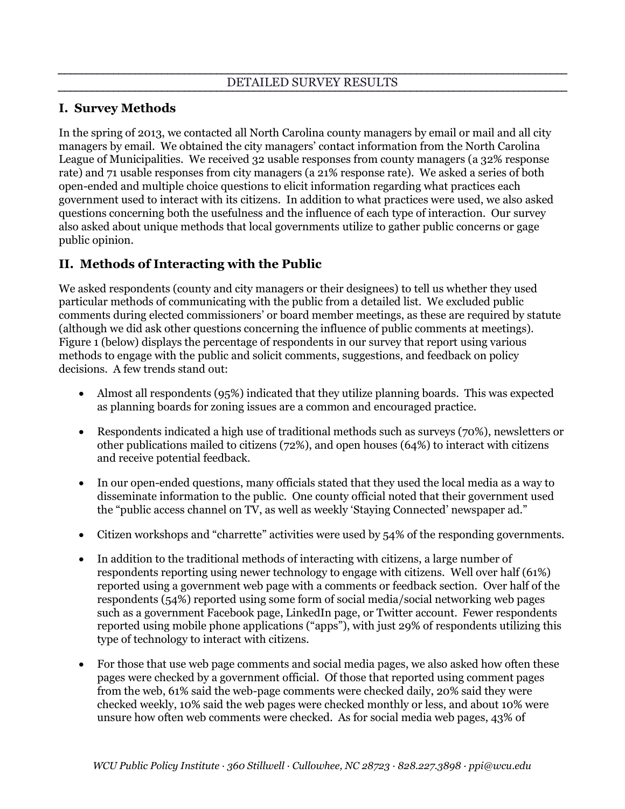### **I. Survey Methods**

In the spring of 2013, we contacted all North Carolina county managers by email or mail and all city managers by email. We obtained the city managers' contact information from the North Carolina League of Municipalities. We received 32 usable responses from county managers (a 32% response rate) and 71 usable responses from city managers (a 21% response rate). We asked a series of both open-ended and multiple choice questions to elicit information regarding what practices each government used to interact with its citizens. In addition to what practices were used, we also asked questions concerning both the usefulness and the influence of each type of interaction. Our survey also asked about unique methods that local governments utilize to gather public concerns or gage public opinion.

### **II. Methods of Interacting with the Public**

We asked respondents (county and city managers or their designees) to tell us whether they used particular methods of communicating with the public from a detailed list. We excluded public comments during elected commissioners' or board member meetings, as these are required by statute (although we did ask other questions concerning the influence of public comments at meetings). Figure 1 (below) displays the percentage of respondents in our survey that report using various methods to engage with the public and solicit comments, suggestions, and feedback on policy decisions. A few trends stand out:

- Almost all respondents (95%) indicated that they utilize planning boards. This was expected as planning boards for zoning issues are a common and encouraged practice.
- Respondents indicated a high use of traditional methods such as surveys (70%), newsletters or other publications mailed to citizens (72%), and open houses (64%) to interact with citizens and receive potential feedback.
- In our open-ended questions, many officials stated that they used the local media as a way to disseminate information to the public. One county official noted that their government used the "public access channel on TV, as well as weekly 'Staying Connected' newspaper ad."
- Citizen workshops and "charrette" activities were used by 54% of the responding governments.
- In addition to the traditional methods of interacting with citizens, a large number of respondents reporting using newer technology to engage with citizens. Well over half (61%) reported using a government web page with a comments or feedback section. Over half of the respondents (54%) reported using some form of social media/social networking web pages such as a government Facebook page, LinkedIn page, or Twitter account. Fewer respondents reported using mobile phone applications ("apps"), with just 29% of respondents utilizing this type of technology to interact with citizens.
- For those that use web page comments and social media pages, we also asked how often these pages were checked by a government official. Of those that reported using comment pages from the web, 61% said the web-page comments were checked daily, 20% said they were checked weekly, 10% said the web pages were checked monthly or less, and about 10% were unsure how often web comments were checked. As for social media web pages, 43% of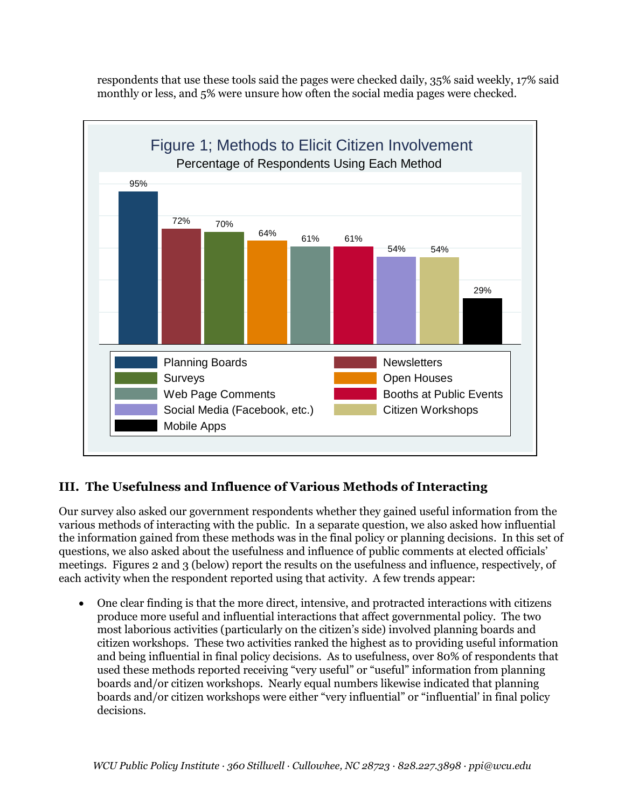respondents that use these tools said the pages were checked daily, 35% said weekly, 17% said monthly or less, and 5% were unsure how often the social media pages were checked.



## **III. The Usefulness and Influence of Various Methods of Interacting**

Our survey also asked our government respondents whether they gained useful information from the various methods of interacting with the public. In a separate question, we also asked how influential the information gained from these methods was in the final policy or planning decisions. In this set of questions, we also asked about the usefulness and influence of public comments at elected officials' meetings. Figures 2 and 3 (below) report the results on the usefulness and influence, respectively, of each activity when the respondent reported using that activity. A few trends appear:

 One clear finding is that the more direct, intensive, and protracted interactions with citizens produce more useful and influential interactions that affect governmental policy. The two most laborious activities (particularly on the citizen's side) involved planning boards and citizen workshops. These two activities ranked the highest as to providing useful information and being influential in final policy decisions. As to usefulness, over 80% of respondents that used these methods reported receiving "very useful" or "useful" information from planning boards and/or citizen workshops. Nearly equal numbers likewise indicated that planning boards and/or citizen workshops were either "very influential" or "influential' in final policy decisions.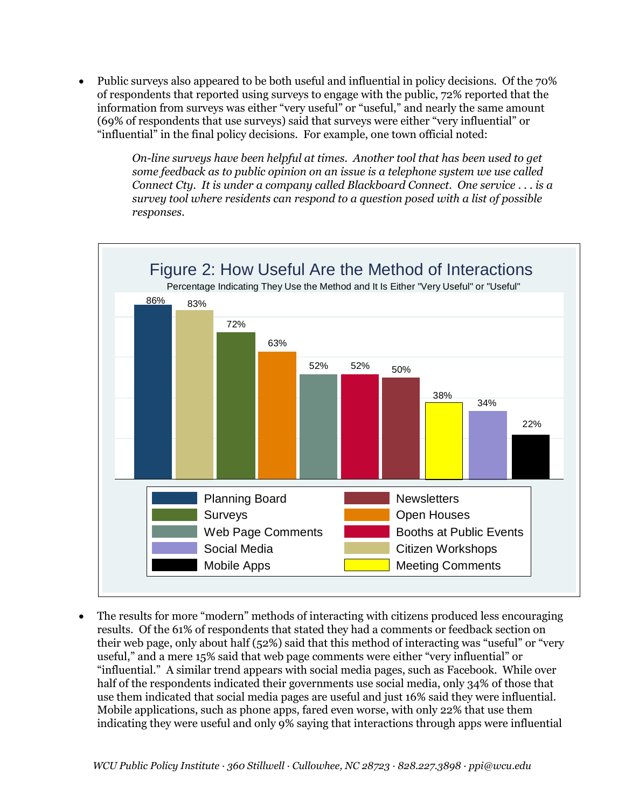Public surveys also appeared to be both useful and influential in policy decisions. Of the 70% of respondents that reported using surveys to engage with the public, 72% reported that the information from surveys was either "very useful" or "useful," and nearly the same amount (69% of respondents that use surveys) said that surveys were either "very influential" or "influential" in the final policy decisions. For example, one town official noted:

> *On-line surveys have been helpful at times. Another tool that has been used to get some feedback as to public opinion on an issue is a telephone system we use called Connect Cty. It is under a company called Blackboard Connect. One service . . . is a survey tool where residents can respond to a question posed with a list of possible responses.*



 The results for more "modern" methods of interacting with citizens produced less encouraging results. Of the 61% of respondents that stated they had a comments or feedback section on their web page, only about half (52%) said that this method of interacting was "useful" or "very useful," and a mere 15% said that web page comments were either "very influential" or "influential." A similar trend appears with social media pages, such as Facebook. While over half of the respondents indicated their governments use social media, only 34% of those that use them indicated that social media pages are useful and just 16% said they were influential. Mobile applications, such as phone apps, fared even worse, with only 22% that use them indicating they were useful and only 9% saying that interactions through apps were influential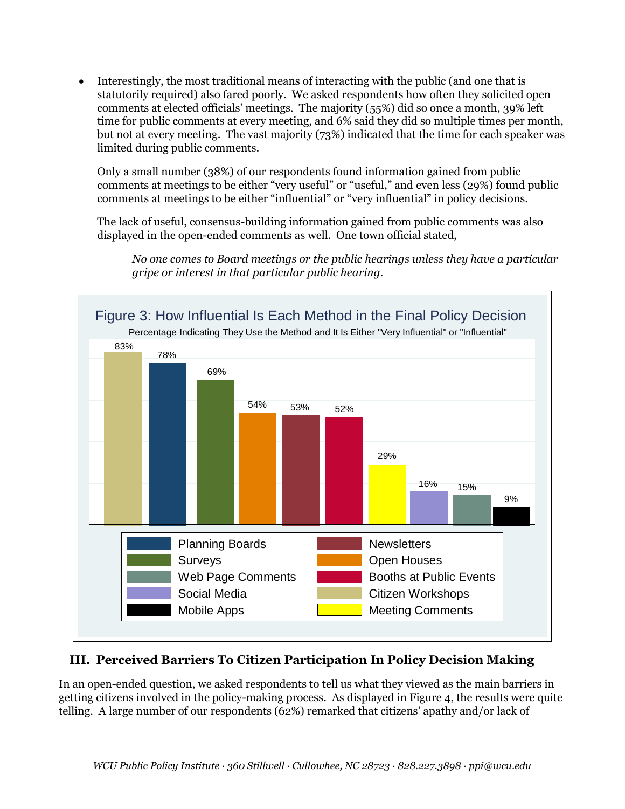Interestingly, the most traditional means of interacting with the public (and one that is statutorily required) also fared poorly. We asked respondents how often they solicited open comments at elected officials' meetings. The majority (55%) did so once a month, 39% left time for public comments at every meeting, and 6% said they did so multiple times per month, but not at every meeting. The vast majority (73%) indicated that the time for each speaker was limited during public comments.

Only a small number (38%) of our respondents found information gained from public comments at meetings to be either "very useful" or "useful," and even less (29%) found public comments at meetings to be either "influential" or "very influential" in policy decisions.

The lack of useful, consensus-building information gained from public comments was also displayed in the open-ended comments as well. One town official stated,

*No one comes to Board meetings or the public hearings unless they have a particular gripe or interest in that particular public hearing.* 



# **III. Perceived Barriers To Citizen Participation In Policy Decision Making**

In an open-ended question, we asked respondents to tell us what they viewed as the main barriers in getting citizens involved in the policy-making process. As displayed in Figure 4, the results were quite telling. A large number of our respondents (62%) remarked that citizens' apathy and/or lack of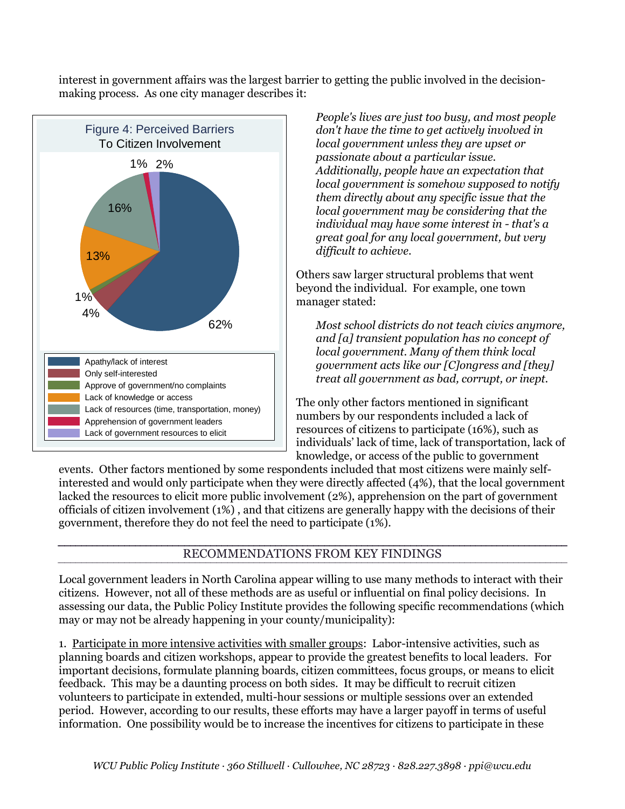interest in government affairs was the largest barrier to getting the public involved in the decisionmaking process. As one city manager describes it:



*People's lives are just too busy, and most people don't have the time to get actively involved in local government unless they are upset or passionate about a particular issue. Additionally, people have an expectation that local government is somehow supposed to notify them directly about any specific issue that the local government may be considering that the individual may have some interest in - that's a great goal for any local government, but very difficult to achieve*.

Others saw larger structural problems that went beyond the individual. For example, one town manager stated:

*Most school districts do not teach civics anymore, and [a] transient population has no concept of local government. Many of them think local government acts like our [C]ongress and [they] treat all government as bad, corrupt, or inept.*

The only other factors mentioned in significant numbers by our respondents included a lack of resources of citizens to participate (16%), such as individuals' lack of time, lack of transportation, lack of knowledge, or access of the public to government

events. Other factors mentioned by some respondents included that most citizens were mainly selfinterested and would only participate when they were directly affected (4%), that the local government lacked the resources to elicit more public involvement (2%), apprehension on the part of government officials of citizen involvement (1%) , and that citizens are generally happy with the decisions of their government, therefore they do not feel the need to participate (1%).

### RECOMMENDATIONS FROM KEY FINDINGS

Local government leaders in North Carolina appear willing to use many methods to interact with their citizens. However, not all of these methods are as useful or influential on final policy decisions. In assessing our data, the Public Policy Institute provides the following specific recommendations (which may or may not be already happening in your county/municipality):

1. Participate in more intensive activities with smaller groups: Labor-intensive activities, such as planning boards and citizen workshops, appear to provide the greatest benefits to local leaders. For important decisions, formulate planning boards, citizen committees, focus groups, or means to elicit feedback. This may be a daunting process on both sides. It may be difficult to recruit citizen volunteers to participate in extended, multi-hour sessions or multiple sessions over an extended period. However, according to our results, these efforts may have a larger payoff in terms of useful information. One possibility would be to increase the incentives for citizens to participate in these